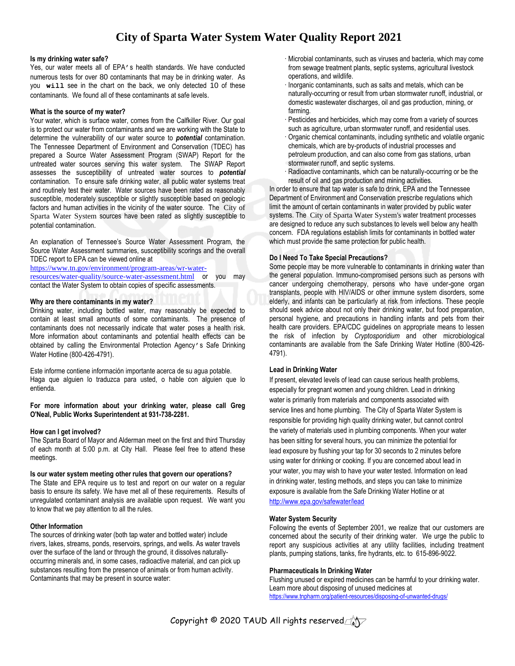# **City of Sparta Water System Water Quality Report 2021**

# **Is my drinking water safe?**

Yes, our water meets all of EPA's health standards. We have conducted numerous tests for over 80 contaminants that may be in drinking water. As you **will** see in the chart on the back, we only detected 10 of these contaminants. We found all of these contaminants at safe levels.

# **What is the source of my water?**

Your water, which is surface water, comes from the Calfkiller River. Our goal is to protect our water from contaminants and we are working with the State to determine the vulnerability of our water source to *potential* contamination. The Tennessee Department of Environment and Conservation (TDEC) has prepared a Source Water Assessment Program (SWAP) Report for the untreated water sources serving this water system. The SWAP Report assesses the susceptibility of untreated water sources to *potential* contamination. To ensure safe drinking water, all public water systems treat and routinely test their water. Water sources have been rated as reasonably susceptible, moderately susceptible or slightly susceptible based on geologic factors and human activities in the vicinity of the water source. The City of Sparta Water System sources have been rated as slightly susceptible to potential contamination.

An explanation of Tennessee's Source Water Assessment Program, the Source Water Assessment summaries, susceptibility scorings and the overall TDEC report to EPA can be viewed online at

[https://www.tn.gov/environment/program-areas/wr-water-](https://www.tn.gov/environment/program-areas/wr-water-resources/water-quality/source-water-assessment.html)

[resources/water-quality/source-water-assessment.html](https://www.tn.gov/environment/program-areas/wr-water-resources/water-quality/source-water-assessment.html) or you may contact the Water System to obtain copies of specific assessments.

# **Why are there contaminants in my water?**

Drinking water, including bottled water, may reasonably be expected to contain at least small amounts of some contaminants. The presence of contaminants does not necessarily indicate that water poses a health risk. More information about contaminants and potential health effects can be obtained by calling the Environmental Protection Agency's Safe Drinking Water Hotline (800-426-4791).

Este informe contiene información importante acerca de su agua potable. Haga que alguien lo traduzca para usted, o hable con alguien que lo entienda.

**For more information about your drinking water, please call Greg O'Neal, Public Works Superintendent at 931-738-2281.**

# **How can I get involved?**

The Sparta Board of Mayor and Alderman meet on the first and third Thursday of each month at 5:00 p.m. at City Hall. Please feel free to attend these meetings.

#### **Is our water system meeting other rules that govern our operations?**

The State and EPA require us to test and report on our water on a regular basis to ensure its safety. We have met all of these requirements. Results of unregulated contaminant analysis are available upon request. We want you to know that we pay attention to all the rules.

# **Other Information**

The sources of drinking water (both tap water and bottled water) include rivers, lakes, streams, ponds, reservoirs, springs, and wells. As water travels over the surface of the land or through the ground, it dissolves naturallyoccurring minerals and, in some cases, radioactive material, and can pick up substances resulting from the presence of animals or from human activity. Contaminants that may be present in source water:

- · Microbial contaminants, such as viruses and bacteria, which may come from sewage treatment plants, septic systems, agricultural livestock operations, and wildlife.
- · Inorganic contaminants, such as salts and metals, which can be naturally-occurring or result from urban stormwater runoff, industrial, or domestic wastewater discharges, oil and gas production, mining, or farming.
- · Pesticides and herbicides, which may come from a variety of sources such as agriculture, urban stormwater runoff, and residential uses.
- · Organic chemical contaminants, including synthetic and volatile organic chemicals, which are by-products of industrial processes and petroleum production, and can also come from gas stations, urban stormwater runoff, and septic systems.
- · Radioactive contaminants, which can be naturally-occurring or be the result of oil and gas production and mining activities.

In order to ensure that tap water is safe to drink, EPA and the Tennessee Department of Environment and Conservation prescribe regulations which limit the amount of certain contaminants in water provided by public water systems. The City of Sparta Water System's water treatment processes are designed to reduce any such substances to levels well below any health concern. FDA regulations establish limits for contaminants in bottled water which must provide the same protection for public health.

# **Do I Need To Take Special Precautions?**

Some people may be more vulnerable to contaminants in drinking water than the general population. Immuno-compromised persons such as persons with cancer undergoing chemotherapy, persons who have under-gone organ transplants, people with HIV/AIDS or other immune system disorders, some elderly, and infants can be particularly at risk from infections. These people should seek advice about not only their drinking water, but food preparation, personal hygiene, and precautions in handling infants and pets from their health care providers. EPA/CDC guidelines on appropriate means to lessen the risk of infection by *Cryptosporidium* and other microbiological contaminants are available from the Safe Drinking Water Hotline (800-426- 4791).

# **Lead in Drinking Water**

If present, elevated levels of lead can cause serious health problems, especially for pregnant women and young children. Lead in drinking water is primarily from materials and components associated with service lines and home plumbing. The City of Sparta Water System is responsible for providing high quality drinking water, but cannot control the variety of materials used in plumbing components. When your water has been sitting for several hours, you can minimize the potential for lead exposure by flushing your tap for 30 seconds to 2 minutes before using water for drinking or cooking. If you are concerned about lead in your water, you may wish to have your water tested. Information on lead in drinking water, testing methods, and steps you can take to minimize exposure is available from the Safe Drinking Water Hotline or at <http://www.epa.gov/safewater/lead>

# **Water System Security**

Following the events of September 2001, we realize that our customers are concerned about the security of their drinking water. We urge the public to report any suspicious activities at any utility facilities, including treatment plants, pumping stations, tanks, fire hydrants, etc. to 615-896-9022.

# **Pharmaceuticals In Drinking Water**

Flushing unused or expired medicines can be harmful to your drinking water. Learn more about disposing of unused medicines at <https://www.tnpharm.org/patient-resources/disposing-of-unwanted-drugs/>